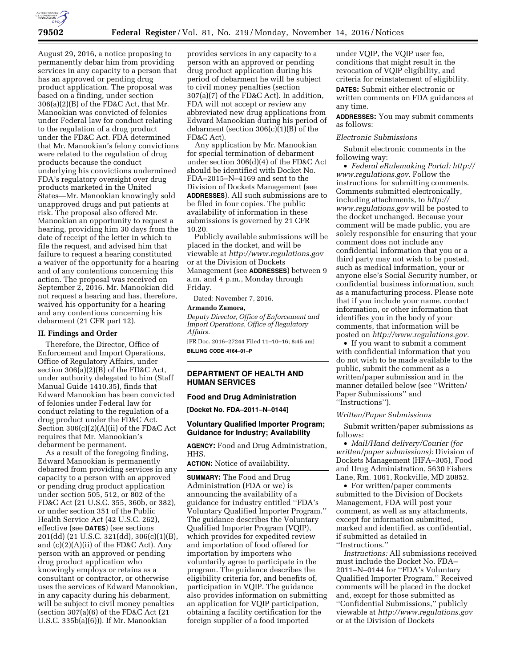

August 29, 2016, a notice proposing to permanently debar him from providing services in any capacity to a person that has an approved or pending drug product application. The proposal was based on a finding, under section 306(a)(2)(B) of the FD&C Act, that Mr. Manookian was convicted of felonies under Federal law for conduct relating to the regulation of a drug product under the FD&C Act. FDA determined that Mr. Manookian's felony convictions were related to the regulation of drug products because the conduct underlying his convictions undermined FDA's regulatory oversight over drug products marketed in the United States—Mr. Manookian knowingly sold unapproved drugs and put patients at risk. The proposal also offered Mr. Manookian an opportunity to request a hearing, providing him 30 days from the date of receipt of the letter in which to file the request, and advised him that failure to request a hearing constituted a waiver of the opportunity for a hearing and of any contentions concerning this action. The proposal was received on September 2, 2016. Mr. Manookian did not request a hearing and has, therefore, waived his opportunity for a hearing and any contentions concerning his debarment (21 CFR part 12).

# **II. Findings and Order**

Therefore, the Director, Office of Enforcement and Import Operations, Office of Regulatory Affairs, under section  $306(a)(2)(B)$  of the FD&C Act, under authority delegated to him (Staff Manual Guide 1410.35), finds that Edward Manookian has been convicted of felonies under Federal law for conduct relating to the regulation of a drug product under the FD&C Act. Section 306(c)(2)(A)(ii) of the FD&C Act requires that Mr. Manookian's debarment be permanent.

As a result of the foregoing finding, Edward Manookian is permanently debarred from providing services in any capacity to a person with an approved or pending drug product application under section 505, 512, or 802 of the FD&C Act (21 U.S.C. 355, 360b, or 382), or under section 351 of the Public Health Service Act (42 U.S.C. 262), effective (see **DATES**) (see sections 201(dd) (21 U.S.C. 321(dd), 306(c)(1)(B), and (c)(2)(A)(ii) of the FD&C Act). Any person with an approved or pending drug product application who knowingly employs or retains as a consultant or contractor, or otherwise uses the services of Edward Manookian, in any capacity during his debarment, will be subject to civil money penalties (section  $307(a)(6)$  of the FD&C Act  $(21)$ U.S.C. 335b(a)(6))). If Mr. Manookian

provides services in any capacity to a person with an approved or pending drug product application during his period of debarment he will be subject to civil money penalties (section 307(a)(7) of the FD&C Act). In addition, FDA will not accept or review any abbreviated new drug applications from Edward Manookian during his period of debarment (section 306(c)(1)(B) of the FD&C Act).

Any application by Mr. Manookian for special termination of debarment under section 306(d)(4) of the FD&C Act should be identified with Docket No. FDA–2015–N–4169 and sent to the Division of Dockets Management (see **ADDRESSES**). All such submissions are to be filed in four copies. The public availability of information in these submissions is governed by 21 CFR 10.20.

Publicly available submissions will be placed in the docket, and will be viewable at *<http://www.regulations.gov>* or at the Division of Dockets Management (see **ADDRESSES**) between 9 a.m. and 4 p.m., Monday through Friday.

Dated: November 7, 2016.

### **Armando Zamora,**

*Deputy Director, Office of Enforcement and Import Operations, Office of Regulatory Affairs.* 

[FR Doc. 2016–27244 Filed 11–10–16; 8:45 am] **BILLING CODE 4164–01–P** 

### **DEPARTMENT OF HEALTH AND HUMAN SERVICES**

### **Food and Drug Administration**

**[Docket No. FDA–2011–N–0144]** 

# **Voluntary Qualified Importer Program; Guidance for Industry; Availability**

**AGENCY:** Food and Drug Administration, HHS.

**ACTION:** Notice of availability.

**SUMMARY:** The Food and Drug Administration (FDA or we) is announcing the availability of a guidance for industry entitled ''FDA's Voluntary Qualified Importer Program.'' The guidance describes the Voluntary Qualified Importer Program (VQIP), which provides for expedited review and importation of food offered for importation by importers who voluntarily agree to participate in the program. The guidance describes the eligibility criteria for, and benefits of, participation in VQIP. The guidance also provides information on submitting an application for VQIP participation, obtaining a facility certification for the foreign supplier of a food imported

under VQIP, the VQIP user fee, conditions that might result in the revocation of VQIP eligibility, and criteria for reinstatement of eligibility.

**DATES:** Submit either electronic or written comments on FDA guidances at any time.

**ADDRESSES:** You may submit comments as follows:

### *Electronic Submissions*

Submit electronic comments in the following way:

• *Federal eRulemaking Portal: [http://](http://www.regulations.gov)  [www.regulations.gov.](http://www.regulations.gov)* Follow the instructions for submitting comments. Comments submitted electronically, including attachments, to *[http://](http://www.regulations.gov) [www.regulations.gov](http://www.regulations.gov)* will be posted to the docket unchanged. Because your comment will be made public, you are solely responsible for ensuring that your comment does not include any confidential information that you or a third party may not wish to be posted, such as medical information, your or anyone else's Social Security number, or confidential business information, such as a manufacturing process. Please note that if you include your name, contact information, or other information that identifies you in the body of your comments, that information will be posted on *[http://www.regulations.gov.](http://www.regulations.gov)* 

• If you want to submit a comment with confidential information that you do not wish to be made available to the public, submit the comment as a written/paper submission and in the manner detailed below (see ''Written/ Paper Submissions'' and ''Instructions'').

### *Written/Paper Submissions*

Submit written/paper submissions as follows:

• *Mail/Hand delivery/Courier (for written/paper submissions):* Division of Dockets Management (HFA–305), Food and Drug Administration, 5630 Fishers Lane, Rm. 1061, Rockville, MD 20852.

• For written/paper comments submitted to the Division of Dockets Management, FDA will post your comment, as well as any attachments, except for information submitted, marked and identified, as confidential, if submitted as detailed in ''Instructions.''

*Instructions:* All submissions received must include the Docket No. FDA– 2011–N–0144 for ''FDA's Voluntary Qualified Importer Program.'' Received comments will be placed in the docket and, except for those submitted as ''Confidential Submissions,'' publicly viewable at *<http://www.regulations.gov>* or at the Division of Dockets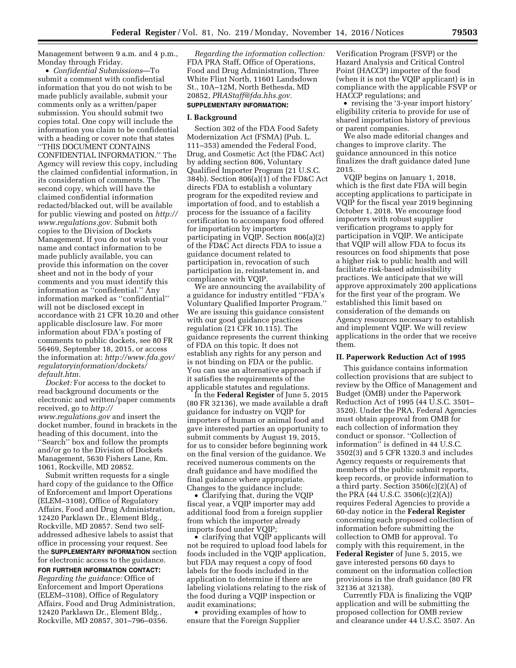Management between 9 a.m. and 4 p.m., Monday through Friday.

• *Confidential Submissions*—To submit a comment with confidential information that you do not wish to be made publicly available, submit your comments only as a written/paper submission. You should submit two copies total. One copy will include the information you claim to be confidential with a heading or cover note that states ''THIS DOCUMENT CONTAINS CONFIDENTIAL INFORMATION.'' The Agency will review this copy, including the claimed confidential information, in its consideration of comments. The second copy, which will have the claimed confidential information redacted/blacked out, will be available for public viewing and posted on *[http://](http://www.regulations.gov)  [www.regulations.gov.](http://www.regulations.gov)* Submit both copies to the Division of Dockets Management. If you do not wish your name and contact information to be made publicly available, you can provide this information on the cover sheet and not in the body of your comments and you must identify this information as ''confidential.'' Any information marked as ''confidential'' will not be disclosed except in accordance with 21 CFR 10.20 and other applicable disclosure law. For more information about FDA's posting of comments to public dockets, see 80 FR 56469, September 18, 2015, or access the information at: *[http://www.fda.gov/](http://www.fda.gov/regulatoryinformation/dockets/default.htm)  [regulatoryinformation/dockets/](http://www.fda.gov/regulatoryinformation/dockets/default.htm)  [default.htm.](http://www.fda.gov/regulatoryinformation/dockets/default.htm)* 

*Docket:* For access to the docket to read background documents or the electronic and written/paper comments received, go to *[http://](http://www.regulations.gov) [www.regulations.gov](http://www.regulations.gov)* and insert the docket number, found in brackets in the heading of this document, into the ''Search'' box and follow the prompts and/or go to the Division of Dockets Management, 5630 Fishers Lane, Rm. 1061, Rockville, MD 20852.

Submit written requests for a single hard copy of the guidance to the Office of Enforcement and Import Operations (ELEM–3108), Office of Regulatory Affairs, Food and Drug Administration, 12420 Parklawn Dr., Element Bldg., Rockville, MD 20857. Send two selfaddressed adhesive labels to assist that office in processing your request. See the **SUPPLEMENTARY INFORMATION** section for electronic access to the guidance.

**FOR FURTHER INFORMATION CONTACT:**  *Regarding the guidance:* Office of Enforcement and Import Operations (ELEM–3108), Office of Regulatory Affairs, Food and Drug Administration, 12420 Parklawn Dr., Element Bldg., Rockville, MD 20857, 301–796–0356.

*Regarding the information collection:*  FDA PRA Staff, Office of Operations, Food and Drug Administration, Three White Flint North, 11601 Landsdown St., 10A–12M, North Bethesda, MD 20852, *[PRAStaff@fda.hhs.gov.](mailto:PRAStaff@fda.hhs.gov)* 

# **SUPPLEMENTARY INFORMATION:**

#### **I. Background**

Section 302 of the FDA Food Safety Modernization Act (FSMA) (Pub. L. 111–353) amended the Federal Food, Drug, and Cosmetic Act (the FD&C Act) by adding section 806, Voluntary Qualified Importer Program (21 U.S.C. 384b). Section 806(a)(1) of the FD&C Act directs FDA to establish a voluntary program for the expedited review and importation of food, and to establish a process for the issuance of a facility certification to accompany food offered for importation by importers participating in VQIP. Section 806(a)(2) of the FD&C Act directs FDA to issue a guidance document related to participation in, revocation of such participation in, reinstatement in, and compliance with VQIP.

We are announcing the availability of a guidance for industry entitled ''FDA's Voluntary Qualified Importer Program.'' We are issuing this guidance consistent with our good guidance practices regulation (21 CFR 10.115). The guidance represents the current thinking of FDA on this topic. It does not establish any rights for any person and is not binding on FDA or the public. You can use an alternative approach if it satisfies the requirements of the applicable statutes and regulations.

In the **Federal Register** of June 5, 2015 (80 FR 32136), we made available a draft guidance for industry on VQIP for importers of human or animal food and gave interested parties an opportunity to submit comments by August 19, 2015, for us to consider before beginning work on the final version of the guidance. We received numerous comments on the draft guidance and have modified the final guidance where appropriate. Changes to the guidance include:

• Clarifying that, during the VQIP fiscal year, a VQIP importer may add additional food from a foreign supplier from which the importer already imports food under VQIP;

• clarifying that VQIP applicants will not be required to upload food labels for foods included in the VQIP application, but FDA may request a copy of food labels for the foods included in the application to determine if there are labeling violations relating to the risk of the food during a VQIP inspection or audit examinations;

• providing examples of how to ensure that the Foreign Supplier

Verification Program (FSVP) or the Hazard Analysis and Critical Control Point (HACCP) importer of the food (when it is not the VQIP applicant) is in compliance with the applicable FSVP or HACCP regulations; and

• revising the '3-year import history' eligibility criteria to provide for use of shared importation history of previous or parent companies.

We also made editorial changes and changes to improve clarity. The guidance announced in this notice finalizes the draft guidance dated June 2015.

VQIP begins on January 1, 2018, which is the first date FDA will begin accepting applications to participate in VQIP for the fiscal year 2019 beginning October 1, 2018. We encourage food importers with robust supplier verification programs to apply for participation in VQIP. We anticipate that VQIP will allow FDA to focus its resources on food shipments that pose a higher risk to public health and will facilitate risk-based admissibility practices. We anticipate that we will approve approximately 200 applications for the first year of the program. We established this limit based on consideration of the demands on Agency resources necessary to establish and implement VQIP. We will review applications in the order that we receive them.

#### **II. Paperwork Reduction Act of 1995**

This guidance contains information collection provisions that are subject to review by the Office of Management and Budget (OMB) under the Paperwork Reduction Act of 1995 (44 U.S.C. 3501– 3520). Under the PRA, Federal Agencies must obtain approval from OMB for each collection of information they conduct or sponsor. ''Collection of information'' is defined in 44 U.S.C. 3502(3) and 5 CFR 1320.3 and includes Agency requests or requirements that members of the public submit reports, keep records, or provide information to a third party. Section 3506(c)(2)(A) of the PRA (44 U.S.C. 3506(c)(2)(A)) requires Federal Agencies to provide a 60-day notice in the **Federal Register**  concerning each proposed collection of information before submitting the collection to OMB for approval. To comply with this requirement, in the **Federal Register** of June 5, 2015, we gave interested persons 60 days to comment on the information collection provisions in the draft guidance (80 FR 32136 at 32138).

Currently FDA is finalizing the VQIP application and will be submitting the proposed collection for OMB review and clearance under 44 U.S.C. 3507. An